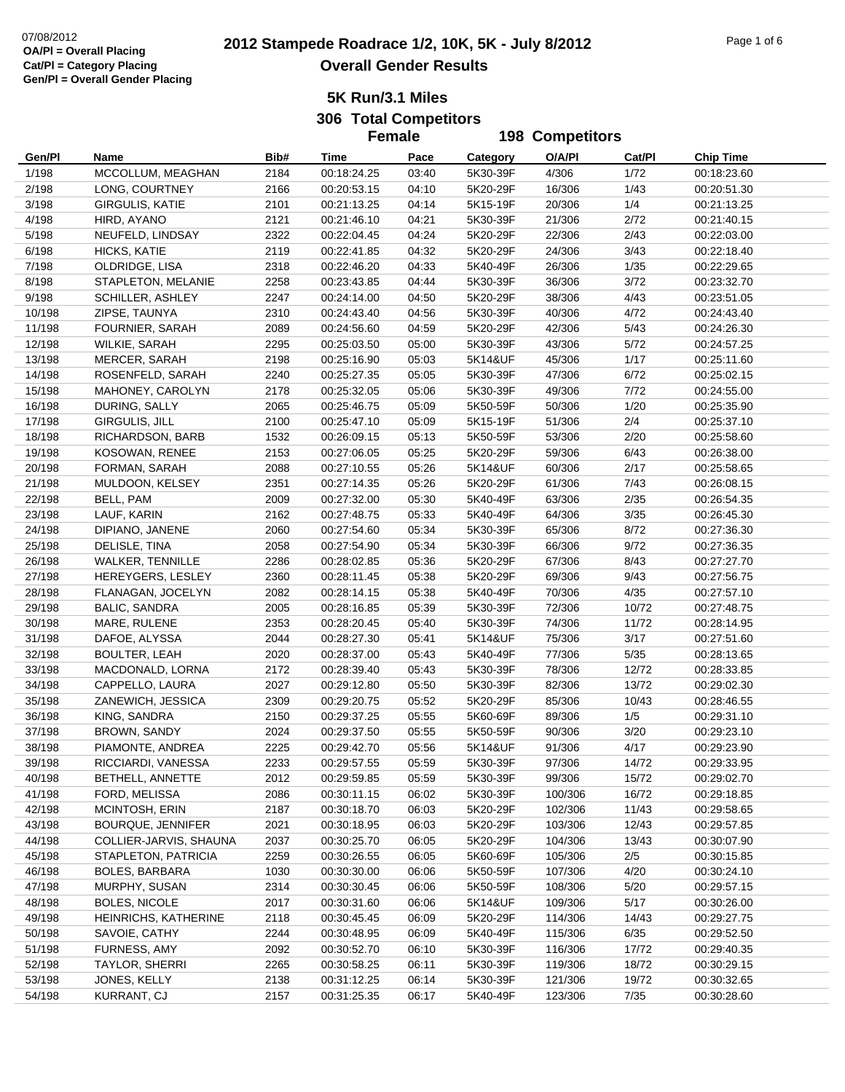# **2012**  $\frac{07}{08/2012}$  Page 1 of 6 **2012 Stampede Roadrace 1/2, 10K, 5K - July 8/2012** Page 1 of 6 **Overall Gender Results**

**5K Run/3.1 Miles306 Total Competitors**

**Female**

|        |                          |      | <b>Female</b> |       | <b>198 Competitors</b> |         |        |                  |
|--------|--------------------------|------|---------------|-------|------------------------|---------|--------|------------------|
| Gen/Pl | Name                     | Bib# | Time          | Pace  | Category               | O/A/PI  | Cat/Pl | <b>Chip Time</b> |
| 1/198  | MCCOLLUM, MEAGHAN        | 2184 | 00:18:24.25   | 03:40 | 5K30-39F               | 4/306   | 1/72   | 00:18:23.60      |
| 2/198  | LONG, COURTNEY           | 2166 | 00:20:53.15   | 04:10 | 5K20-29F               | 16/306  | 1/43   | 00:20:51.30      |
| 3/198  | <b>GIRGULIS, KATIE</b>   | 2101 | 00:21:13.25   | 04:14 | 5K15-19F               | 20/306  | 1/4    | 00:21:13.25      |
| 4/198  | HIRD, AYANO              | 2121 | 00:21:46.10   | 04:21 | 5K30-39F               | 21/306  | 2/72   | 00:21:40.15      |
| 5/198  | NEUFELD, LINDSAY         | 2322 | 00:22:04.45   | 04:24 | 5K20-29F               | 22/306  | 2/43   | 00:22:03.00      |
| 6/198  | HICKS, KATIE             | 2119 | 00:22:41.85   | 04:32 | 5K20-29F               | 24/306  | 3/43   | 00:22:18.40      |
| 7/198  | OLDRIDGE, LISA           | 2318 | 00:22:46.20   | 04:33 | 5K40-49F               | 26/306  | 1/35   | 00:22:29.65      |
| 8/198  | STAPLETON, MELANIE       | 2258 | 00:23:43.85   | 04:44 | 5K30-39F               | 36/306  | 3/72   | 00:23:32.70      |
| 9/198  | SCHILLER, ASHLEY         | 2247 | 00:24:14.00   | 04:50 | 5K20-29F               | 38/306  | 4/43   | 00:23:51.05      |
| 10/198 | ZIPSE, TAUNYA            | 2310 | 00:24:43.40   | 04:56 | 5K30-39F               | 40/306  | 4/72   | 00:24:43.40      |
| 11/198 | FOURNIER, SARAH          | 2089 | 00:24:56.60   | 04:59 | 5K20-29F               | 42/306  | 5/43   | 00:24:26.30      |
| 12/198 | WILKIE, SARAH            | 2295 | 00:25:03.50   | 05:00 | 5K30-39F               | 43/306  | 5/72   | 00:24:57.25      |
| 13/198 | <b>MERCER, SARAH</b>     | 2198 | 00:25:16.90   | 05:03 | 5K14&UF                | 45/306  | 1/17   | 00:25:11.60      |
| 14/198 | ROSENFELD, SARAH         | 2240 | 00:25:27.35   | 05:05 | 5K30-39F               | 47/306  | 6/72   | 00:25:02.15      |
| 15/198 | MAHONEY, CAROLYN         | 2178 | 00:25:32.05   | 05:06 | 5K30-39F               | 49/306  | 7/72   | 00:24:55.00      |
|        | DURING, SALLY            | 2065 | 00:25:46.75   | 05:09 | 5K50-59F               | 50/306  | 1/20   | 00:25:35.90      |
| 16/198 |                          |      |               |       |                        |         |        |                  |
| 17/198 | GIRGULIS, JILL           | 2100 | 00:25:47.10   | 05:09 | 5K15-19F               | 51/306  | 2/4    | 00:25:37.10      |
| 18/198 | RICHARDSON, BARB         | 1532 | 00:26:09.15   | 05:13 | 5K50-59F               | 53/306  | 2/20   | 00:25:58.60      |
| 19/198 | KOSOWAN, RENEE           | 2153 | 00:27:06.05   | 05:25 | 5K20-29F               | 59/306  | 6/43   | 00:26:38.00      |
| 20/198 | FORMAN, SARAH            | 2088 | 00:27:10.55   | 05:26 | 5K14&UF                | 60/306  | 2/17   | 00:25:58.65      |
| 21/198 | MULDOON, KELSEY          | 2351 | 00:27:14.35   | 05:26 | 5K20-29F               | 61/306  | 7/43   | 00:26:08.15      |
| 22/198 | BELL, PAM                | 2009 | 00:27:32.00   | 05:30 | 5K40-49F               | 63/306  | 2/35   | 00:26:54.35      |
| 23/198 | LAUF, KARIN              | 2162 | 00:27:48.75   | 05:33 | 5K40-49F               | 64/306  | 3/35   | 00:26:45.30      |
| 24/198 | DIPIANO, JANENE          | 2060 | 00:27:54.60   | 05:34 | 5K30-39F               | 65/306  | 8/72   | 00:27:36.30      |
| 25/198 | DELISLE, TINA            | 2058 | 00:27:54.90   | 05:34 | 5K30-39F               | 66/306  | 9/72   | 00:27:36.35      |
| 26/198 | <b>WALKER, TENNILLE</b>  | 2286 | 00:28:02.85   | 05:36 | 5K20-29F               | 67/306  | 8/43   | 00:27:27.70      |
| 27/198 | HEREYGERS, LESLEY        | 2360 | 00:28:11.45   | 05:38 | 5K20-29F               | 69/306  | 9/43   | 00:27:56.75      |
| 28/198 | FLANAGAN, JOCELYN        | 2082 | 00:28:14.15   | 05:38 | 5K40-49F               | 70/306  | 4/35   | 00:27:57.10      |
| 29/198 | <b>BALIC, SANDRA</b>     | 2005 | 00:28:16.85   | 05:39 | 5K30-39F               | 72/306  | 10/72  | 00:27:48.75      |
| 30/198 | MARE, RULENE             | 2353 | 00:28:20.45   | 05:40 | 5K30-39F               | 74/306  | 11/72  | 00:28:14.95      |
| 31/198 | DAFOE, ALYSSA            | 2044 | 00:28:27.30   | 05:41 | 5K14&UF                | 75/306  | 3/17   | 00:27:51.60      |
| 32/198 | <b>BOULTER, LEAH</b>     | 2020 | 00:28:37.00   | 05:43 | 5K40-49F               | 77/306  | 5/35   | 00:28:13.65      |
| 33/198 | MACDONALD, LORNA         | 2172 | 00:28:39.40   | 05:43 | 5K30-39F               | 78/306  | 12/72  | 00:28:33.85      |
| 34/198 | CAPPELLO, LAURA          | 2027 | 00:29:12.80   | 05:50 | 5K30-39F               | 82/306  | 13/72  | 00:29:02.30      |
| 35/198 | ZANEWICH, JESSICA        | 2309 | 00:29:20.75   | 05:52 | 5K20-29F               | 85/306  | 10/43  | 00:28:46.55      |
| 36/198 | KING, SANDRA             | 2150 | 00:29:37.25   | 05:55 | 5K60-69F               | 89/306  | 1/5    | 00:29:31.10      |
| 37/198 | <b>BROWN, SANDY</b>      | 2024 | 00:29:37.50   | 05:55 | 5K50-59F               | 90/306  | 3/20   | 00:29:23.10      |
| 38/198 | PIAMONTE, ANDREA         | 2225 | 00:29:42.70   | 05:56 | 5K14&UF                | 91/306  | 4/17   | 00:29:23.90      |
| 39/198 | RICCIARDI, VANESSA       | 2233 | 00:29:57.55   | 05:59 | 5K30-39F               | 97/306  | 14/72  | 00:29:33.95      |
| 40/198 | BETHELL, ANNETTE         | 2012 | 00:29:59.85   | 05:59 | 5K30-39F               | 99/306  | 15/72  | 00:29:02.70      |
| 41/198 | FORD, MELISSA            | 2086 | 00:30:11.15   | 06:02 | 5K30-39F               | 100/306 | 16/72  | 00:29:18.85      |
| 42/198 | MCINTOSH, ERIN           | 2187 | 00:30:18.70   | 06:03 | 5K20-29F               | 102/306 | 11/43  | 00:29:58.65      |
| 43/198 | <b>BOURQUE, JENNIFER</b> | 2021 | 00:30:18.95   | 06:03 | 5K20-29F               | 103/306 | 12/43  | 00:29:57.85      |
| 44/198 | COLLIER-JARVIS, SHAUNA   | 2037 | 00:30:25.70   | 06:05 | 5K20-29F               | 104/306 | 13/43  | 00:30:07.90      |
| 45/198 | STAPLETON, PATRICIA      | 2259 | 00:30:26.55   | 06:05 | 5K60-69F               | 105/306 | 2/5    | 00:30:15.85      |
| 46/198 | <b>BOLES, BARBARA</b>    | 1030 | 00:30:30.00   | 06:06 | 5K50-59F               | 107/306 | 4/20   | 00:30:24.10      |
| 47/198 | MURPHY, SUSAN            | 2314 | 00:30:30.45   | 06:06 | 5K50-59F               | 108/306 | 5/20   | 00:29:57.15      |
| 48/198 | <b>BOLES, NICOLE</b>     | 2017 | 00:30:31.60   | 06:06 | 5K14&UF                | 109/306 | 5/17   | 00:30:26.00      |
| 49/198 | HEINRICHS, KATHERINE     | 2118 | 00:30:45.45   | 06:09 | 5K20-29F               | 114/306 | 14/43  | 00:29:27.75      |
| 50/198 | SAVOIE, CATHY            | 2244 | 00:30:48.95   | 06:09 | 5K40-49F               | 115/306 | 6/35   | 00:29:52.50      |
| 51/198 | FURNESS, AMY             | 2092 | 00:30:52.70   | 06:10 | 5K30-39F               | 116/306 | 17/72  | 00:29:40.35      |
| 52/198 | TAYLOR, SHERRI           | 2265 | 00:30:58.25   | 06:11 | 5K30-39F               | 119/306 | 18/72  | 00:30:29.15      |
| 53/198 | JONES, KELLY             | 2138 | 00:31:12.25   | 06:14 | 5K30-39F               | 121/306 | 19/72  | 00:30:32.65      |
| 54/198 | KURRANT, CJ              | 2157 | 00:31:25.35   | 06:17 | 5K40-49F               | 123/306 | 7/35   | 00:30:28.60      |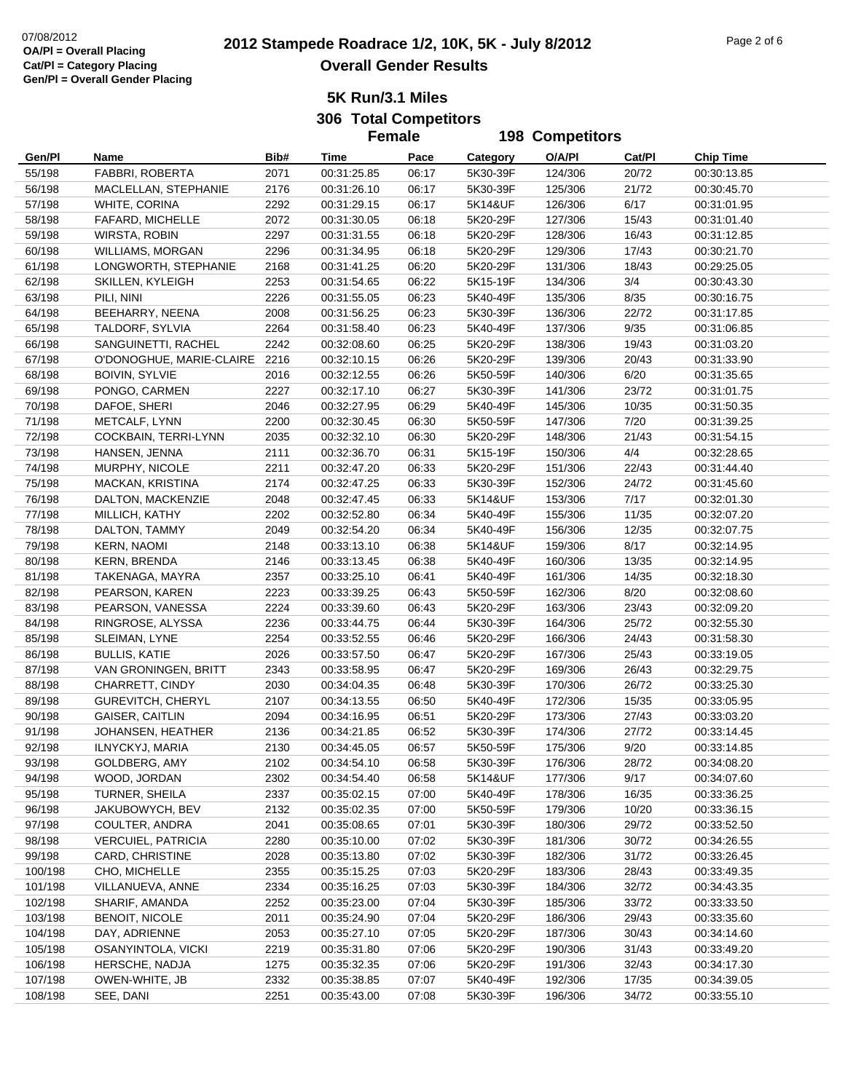**5K Run/3.1 Miles306 Total Competitors**

**Female**

|         |                           |      | <b>Female</b>              |       | <b>198 Competitors</b> |         |        |                  |
|---------|---------------------------|------|----------------------------|-------|------------------------|---------|--------|------------------|
| Gen/Pl  | Name                      | Bib# | Time                       | Pace  | Category               | O/A/PI  | Cat/Pl | <b>Chip Time</b> |
| 55/198  | FABBRI, ROBERTA           | 2071 | 00:31:25.85                | 06:17 | 5K30-39F               | 124/306 | 20/72  | 00:30:13.85      |
| 56/198  | MACLELLAN, STEPHANIE      | 2176 | 00:31:26.10                | 06:17 | 5K30-39F               | 125/306 | 21/72  | 00:30:45.70      |
| 57/198  | WHITE, CORINA             | 2292 | 00:31:29.15                | 06:17 | 5K14&UF                | 126/306 | 6/17   | 00:31:01.95      |
| 58/198  | FAFARD, MICHELLE          | 2072 | 00:31:30.05                | 06:18 | 5K20-29F               | 127/306 | 15/43  | 00:31:01.40      |
| 59/198  | <b>WIRSTA, ROBIN</b>      | 2297 | 00:31:31.55                | 06:18 | 5K20-29F               | 128/306 | 16/43  | 00:31:12.85      |
| 60/198  | <b>WILLIAMS, MORGAN</b>   | 2296 | 00:31:34.95                | 06:18 | 5K20-29F               | 129/306 | 17/43  | 00:30:21.70      |
| 61/198  | LONGWORTH, STEPHANIE      | 2168 | 00:31:41.25                | 06:20 | 5K20-29F               | 131/306 | 18/43  | 00:29:25.05      |
| 62/198  | SKILLEN, KYLEIGH          | 2253 | 00:31:54.65                | 06:22 | 5K15-19F               | 134/306 | 3/4    | 00:30:43.30      |
| 63/198  | PILI, NINI                | 2226 | 00:31:55.05                | 06:23 | 5K40-49F               | 135/306 | 8/35   | 00:30:16.75      |
| 64/198  | BEEHARRY, NEENA           | 2008 | 00:31:56.25                | 06:23 | 5K30-39F               | 136/306 | 22/72  | 00:31:17.85      |
| 65/198  | TALDORF, SYLVIA           | 2264 | 00:31:58.40                | 06:23 | 5K40-49F               | 137/306 | 9/35   | 00:31:06.85      |
| 66/198  | SANGUINETTI, RACHEL       | 2242 | 00:32:08.60                | 06:25 | 5K20-29F               | 138/306 | 19/43  | 00:31:03.20      |
| 67/198  | O'DONOGHUE, MARIE-CLAIRE  | 2216 | 00:32:10.15                | 06:26 | 5K20-29F               | 139/306 | 20/43  | 00:31:33.90      |
| 68/198  | <b>BOIVIN, SYLVIE</b>     | 2016 | 00:32:12.55                | 06:26 | 5K50-59F               | 140/306 | 6/20   | 00:31:35.65      |
| 69/198  | PONGO, CARMEN             | 2227 |                            | 06:27 | 5K30-39F               | 141/306 | 23/72  |                  |
|         |                           |      | 00:32:17.10<br>00:32:27.95 |       |                        |         |        | 00:31:01.75      |
| 70/198  | DAFOE, SHERI              | 2046 |                            | 06:29 | 5K40-49F               | 145/306 | 10/35  | 00:31:50.35      |
| 71/198  | METCALF, LYNN             | 2200 | 00:32:30.45                | 06:30 | 5K50-59F               | 147/306 | 7/20   | 00:31:39.25      |
| 72/198  | COCKBAIN, TERRI-LYNN      | 2035 | 00:32:32.10                | 06:30 | 5K20-29F               | 148/306 | 21/43  | 00:31:54.15      |
| 73/198  | HANSEN, JENNA             | 2111 | 00:32:36.70                | 06:31 | 5K15-19F               | 150/306 | 4/4    | 00:32:28.65      |
| 74/198  | MURPHY, NICOLE            | 2211 | 00:32:47.20                | 06:33 | 5K20-29F               | 151/306 | 22/43  | 00:31:44.40      |
| 75/198  | MACKAN, KRISTINA          | 2174 | 00:32:47.25                | 06:33 | 5K30-39F               | 152/306 | 24/72  | 00:31:45.60      |
| 76/198  | DALTON, MACKENZIE         | 2048 | 00:32:47.45                | 06:33 | 5K14&UF                | 153/306 | 7/17   | 00:32:01.30      |
| 77/198  | MILLICH, KATHY            | 2202 | 00:32:52.80                | 06:34 | 5K40-49F               | 155/306 | 11/35  | 00:32:07.20      |
| 78/198  | DALTON, TAMMY             | 2049 | 00:32:54.20                | 06:34 | 5K40-49F               | 156/306 | 12/35  | 00:32:07.75      |
| 79/198  | <b>KERN, NAOMI</b>        | 2148 | 00:33:13.10                | 06:38 | 5K14&UF                | 159/306 | 8/17   | 00:32:14.95      |
| 80/198  | KERN, BRENDA              | 2146 | 00:33:13.45                | 06:38 | 5K40-49F               | 160/306 | 13/35  | 00:32:14.95      |
| 81/198  | TAKENAGA, MAYRA           | 2357 | 00:33:25.10                | 06:41 | 5K40-49F               | 161/306 | 14/35  | 00:32:18.30      |
| 82/198  | PEARSON, KAREN            | 2223 | 00:33:39.25                | 06:43 | 5K50-59F               | 162/306 | 8/20   | 00:32:08.60      |
| 83/198  | PEARSON, VANESSA          | 2224 | 00:33:39.60                | 06:43 | 5K20-29F               | 163/306 | 23/43  | 00:32:09.20      |
| 84/198  | RINGROSE, ALYSSA          | 2236 | 00:33:44.75                | 06:44 | 5K30-39F               | 164/306 | 25/72  | 00:32:55.30      |
| 85/198  | SLEIMAN, LYNE             | 2254 | 00:33:52.55                | 06:46 | 5K20-29F               | 166/306 | 24/43  | 00:31:58.30      |
| 86/198  | <b>BULLIS, KATIE</b>      | 2026 | 00:33:57.50                | 06:47 | 5K20-29F               | 167/306 | 25/43  | 00:33:19.05      |
| 87/198  | VAN GRONINGEN, BRITT      | 2343 | 00:33:58.95                | 06:47 | 5K20-29F               | 169/306 | 26/43  | 00:32:29.75      |
| 88/198  | CHARRETT, CINDY           | 2030 | 00:34:04.35                | 06:48 | 5K30-39F               | 170/306 | 26/72  | 00:33:25.30      |
| 89/198  | GUREVITCH, CHERYL         | 2107 | 00:34:13.55                | 06:50 | 5K40-49F               | 172/306 | 15/35  | 00:33:05.95      |
| 90/198  | <b>GAISER, CAITLIN</b>    | 2094 | 00:34:16.95                | 06:51 | 5K20-29F               | 173/306 | 27/43  | 00:33:03.20      |
| 91/198  | JOHANSEN, HEATHER         | 2136 | 00:34:21.85                | 06:52 | 5K30-39F               | 174/306 | 27/72  | 00:33:14.45      |
| 92/198  | ILNYCKYJ, MARIA           | 2130 | 00:34:45.05                | 06:57 | 5K50-59F               | 175/306 | 9/20   | 00:33:14.85      |
| 93/198  | GOLDBERG, AMY             | 2102 | 00:34:54.10                | 06:58 | 5K30-39F               | 176/306 | 28/72  | 00:34:08.20      |
| 94/198  | WOOD, JORDAN              | 2302 | 00:34:54.40                | 06:58 | 5K14&UF                | 177/306 | 9/17   | 00:34:07.60      |
| 95/198  | TURNER, SHEILA            | 2337 | 00:35:02.15                | 07:00 | 5K40-49F               | 178/306 | 16/35  | 00:33:36.25      |
| 96/198  | JAKUBOWYCH, BEV           | 2132 | 00:35:02.35                | 07:00 | 5K50-59F               | 179/306 | 10/20  | 00:33:36.15      |
| 97/198  | COULTER, ANDRA            | 2041 | 00:35:08.65                | 07:01 | 5K30-39F               | 180/306 | 29/72  | 00:33:52.50      |
| 98/198  | <b>VERCUIEL, PATRICIA</b> | 2280 | 00:35:10.00                | 07:02 | 5K30-39F               | 181/306 | 30/72  | 00:34:26.55      |
| 99/198  | CARD, CHRISTINE           | 2028 | 00:35:13.80                | 07:02 | 5K30-39F               | 182/306 | 31/72  | 00:33:26.45      |
| 100/198 | CHO, MICHELLE             | 2355 | 00:35:15.25                | 07:03 | 5K20-29F               | 183/306 | 28/43  | 00:33:49.35      |
| 101/198 | VILLANUEVA, ANNE          | 2334 | 00:35:16.25                | 07:03 | 5K30-39F               | 184/306 | 32/72  | 00:34:43.35      |
| 102/198 | SHARIF, AMANDA            | 2252 | 00:35:23.00                | 07:04 | 5K30-39F               | 185/306 | 33/72  | 00:33:33.50      |
| 103/198 | <b>BENOIT, NICOLE</b>     | 2011 | 00:35:24.90                | 07:04 | 5K20-29F               | 186/306 | 29/43  | 00:33:35.60      |
| 104/198 | DAY, ADRIENNE             | 2053 | 00:35:27.10                | 07:05 | 5K20-29F               | 187/306 | 30/43  | 00:34:14.60      |
| 105/198 | OSANYINTOLA, VICKI        | 2219 | 00:35:31.80                | 07:06 | 5K20-29F               | 190/306 | 31/43  | 00:33:49.20      |
| 106/198 | HERSCHE, NADJA            | 1275 | 00:35:32.35                | 07:06 | 5K20-29F               | 191/306 | 32/43  | 00:34:17.30      |
| 107/198 | OWEN-WHITE, JB            | 2332 | 00:35:38.85                | 07:07 | 5K40-49F               | 192/306 | 17/35  | 00:34:39.05      |
| 108/198 | SEE, DANI                 | 2251 | 00:35:43.00                | 07:08 | 5K30-39F               | 196/306 | 34/72  | 00:33:55.10      |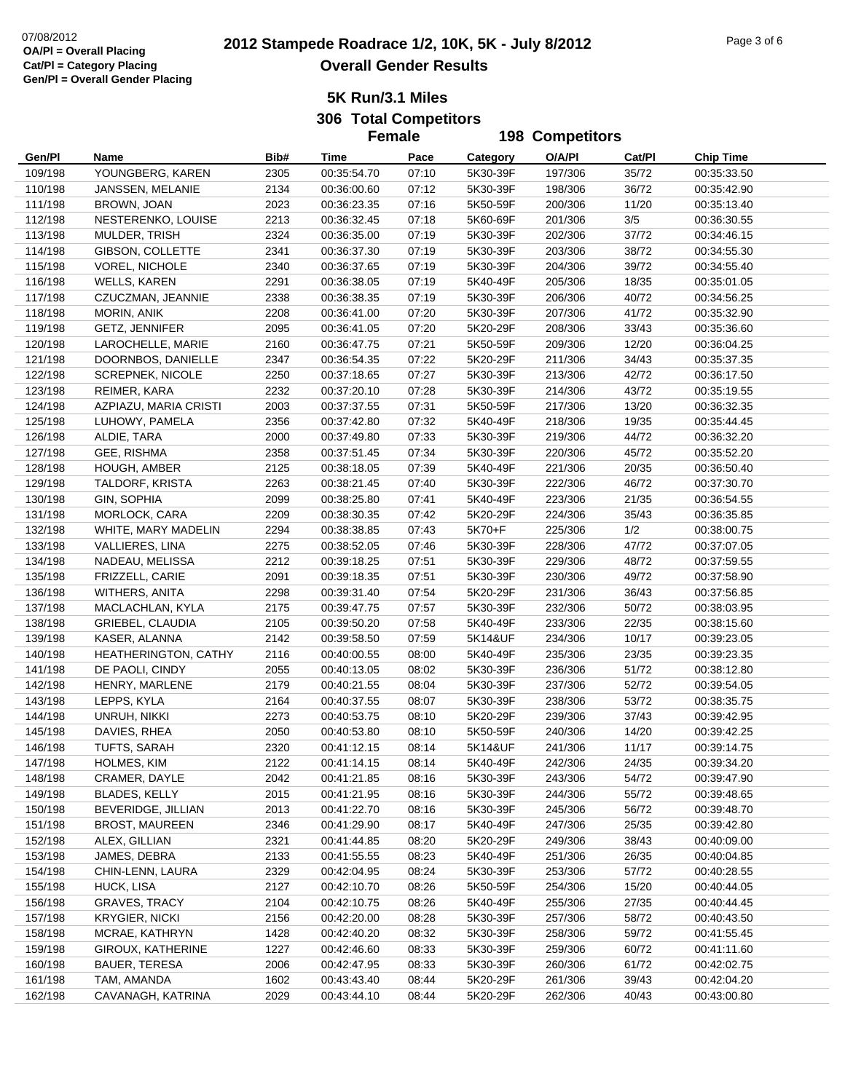# **2012 Stampede Roadrace 1/2, 10K, 5K - July 8/2012** 07/08/2012 Page 3 of 6 **Overall Gender Results**

**5K Run/3.1 Miles306 Total Competitors**

|                    |                                       |              | <b>Female</b>              |                | <b>198 Competitors</b> |                    |                |                            |
|--------------------|---------------------------------------|--------------|----------------------------|----------------|------------------------|--------------------|----------------|----------------------------|
| Gen/Pl             | Name                                  | Bib#         | Time                       | Pace           | Category               | O/A/PI             | Cat/Pl         | <b>Chip Time</b>           |
| 109/198            | YOUNGBERG, KAREN                      | 2305         | 00:35:54.70                | 07:10          | 5K30-39F               | 197/306            | 35/72          | 00:35:33.50                |
| 110/198            | JANSSEN, MELANIE                      | 2134         | 00:36:00.60                | 07:12          | 5K30-39F               | 198/306            | 36/72          | 00:35:42.90                |
| 111/198            | BROWN, JOAN                           | 2023         | 00:36:23.35                | 07:16          | 5K50-59F               | 200/306            | 11/20          | 00:35:13.40                |
| 112/198            | NESTERENKO, LOUISE                    | 2213         | 00:36:32.45                | 07:18          | 5K60-69F               | 201/306            | 3/5            | 00:36:30.55                |
| 113/198            | MULDER, TRISH                         | 2324         | 00:36:35.00                | 07:19          | 5K30-39F               | 202/306            | 37/72          | 00:34:46.15                |
| 114/198            | GIBSON, COLLETTE                      | 2341         | 00:36:37.30                | 07:19          | 5K30-39F               | 203/306            | 38/72          | 00:34:55.30                |
| 115/198            | <b>VOREL, NICHOLE</b>                 | 2340         | 00:36:37.65                | 07:19          | 5K30-39F               | 204/306            | 39/72          | 00:34:55.40                |
| 116/198            | <b>WELLS, KAREN</b>                   | 2291         | 00:36:38.05                | 07:19          | 5K40-49F               | 205/306            | 18/35          | 00:35:01.05                |
| 117/198            | CZUCZMAN, JEANNIE                     | 2338         | 00:36:38.35                | 07:19          | 5K30-39F               | 206/306            | 40/72          | 00:34:56.25                |
| 118/198            | MORIN, ANIK                           | 2208         | 00:36:41.00                | 07:20          | 5K30-39F               | 207/306            | 41/72          | 00:35:32.90                |
| 119/198            | GETZ, JENNIFER                        | 2095         | 00:36:41.05                | 07:20          | 5K20-29F               | 208/306            | 33/43          | 00:35:36.60                |
| 120/198            | LAROCHELLE, MARIE                     | 2160         | 00:36:47.75                | 07:21          | 5K50-59F               | 209/306            | 12/20          | 00:36:04.25                |
| 121/198            | DOORNBOS, DANIELLE                    | 2347         | 00:36:54.35                | 07:22          | 5K20-29F               | 211/306            | 34/43          | 00:35:37.35                |
| 122/198            | <b>SCREPNEK, NICOLE</b>               | 2250         | 00:37:18.65                | 07:27          | 5K30-39F               | 213/306            | 42/72          | 00:36:17.50                |
| 123/198            | REIMER, KARA                          | 2232         | 00:37:20.10                | 07:28          | 5K30-39F               | 214/306            | 43/72          | 00:35:19.55                |
| 124/198            | AZPIAZU, MARIA CRISTI                 | 2003         | 00:37:37.55                | 07:31          | 5K50-59F               | 217/306            | 13/20          | 00:36:32.35                |
| 125/198            | LUHOWY, PAMELA                        | 2356         | 00:37:42.80                | 07:32          | 5K40-49F               | 218/306            | 19/35          | 00:35:44.45                |
| 126/198            | ALDIE, TARA                           | 2000         | 00:37:49.80                | 07:33          | 5K30-39F               | 219/306            | 44/72          | 00:36:32.20                |
| 127/198            | GEE, RISHMA                           | 2358         | 00:37:51.45                | 07:34          | 5K30-39F               | 220/306            | 45/72          | 00:35:52.20                |
| 128/198            | HOUGH, AMBER                          | 2125         | 00:38:18.05                | 07:39          | 5K40-49F               | 221/306            | 20/35          | 00:36:50.40                |
| 129/198            | TALDORF, KRISTA                       | 2263         | 00:38:21.45                | 07:40          | 5K30-39F               | 222/306            | 46/72          | 00:37:30.70                |
| 130/198            | GIN, SOPHIA                           | 2099         | 00:38:25.80                | 07:41          | 5K40-49F               | 223/306            | 21/35          | 00:36:54.55                |
| 131/198            | MORLOCK, CARA                         | 2209         | 00:38:30.35                | 07:42          | 5K20-29F               | 224/306            | 35/43          | 00:36:35.85                |
| 132/198            | WHITE, MARY MADELIN                   | 2294         | 00:38:38.85                | 07:43          | 5K70+F                 | 225/306            | 1/2            | 00:38:00.75                |
| 133/198            | <b>VALLIERES, LINA</b>                | 2275         | 00:38:52.05                | 07:46          | 5K30-39F               | 228/306            | 47/72          | 00:37:07.05                |
| 134/198            | NADEAU, MELISSA                       | 2212         | 00:39:18.25                | 07:51          | 5K30-39F               | 229/306            | 48/72          | 00:37:59.55                |
| 135/198            | FRIZZELL, CARIE                       | 2091         | 00:39:18.35                | 07:51          | 5K30-39F               | 230/306            | 49/72          | 00:37:58.90                |
| 136/198            | WITHERS, ANITA                        | 2298         | 00:39:31.40                | 07:54          | 5K20-29F               | 231/306            | 36/43          | 00:37:56.85                |
| 137/198            | MACLACHLAN, KYLA                      | 2175         | 00:39:47.75                | 07:57          | 5K30-39F               | 232/306            | 50/72          | 00:38:03.95                |
| 138/198            | GRIEBEL, CLAUDIA                      | 2105         | 00:39:50.20                | 07:58          | 5K40-49F               | 233/306            | 22/35          | 00:38:15.60                |
| 139/198            | KASER, ALANNA                         | 2142         | 00:39:58.50                | 07:59          | 5K14&UF                | 234/306            | 10/17          | 00:39:23.05                |
| 140/198            | HEATHERINGTON, CATHY                  | 2116         | 00:40:00.55                | 08:00          | 5K40-49F               | 235/306            | 23/35          | 00:39:23.35                |
| 141/198            | DE PAOLI, CINDY                       | 2055         | 00:40:13.05                | 08:02          | 5K30-39F               | 236/306            | 51/72          | 00:38:12.80                |
| 142/198            | HENRY, MARLENE                        | 2179         | 00:40:21.55                | 08:04          | 5K30-39F               | 237/306            | 52/72          | 00:39:54.05                |
| 143/198            | LEPPS, KYLA                           | 2164         | 00:40:37.55                | 08:07          | 5K30-39F               | 238/306            | 53/72          | 00:38:35.75                |
| 144/198            | UNRUH, NIKKI                          | 2273         | 00:40:53.75                | 08:10          | 5K20-29F               | 239/306            | 37/43          | 00:39:42.95                |
| 145/198            | DAVIES, RHEA                          | 2050         | 00:40:53.80                | 08:10          | 5K50-59F               | 240/306            | 14/20          | 00:39:42.25                |
| 146/198<br>147/198 | TUFTS, SARAH                          | 2320         | 00:41:12.15                | 08:14          | 5K14&UF                | 241/306            | 11/17          | 00:39:14.75                |
|                    | HOLMES, KIM                           | 2122<br>2042 | 00:41:14.15                | 08:14          | 5K40-49F               | 242/306            | 24/35          | 00:39:34.20<br>00:39:47.90 |
| 148/198            | CRAMER, DAYLE<br><b>BLADES, KELLY</b> | 2015         | 00:41:21.85                | 08:16          | 5K30-39F<br>5K30-39F   | 243/306<br>244/306 | 54/72          | 00:39:48.65                |
| 149/198<br>150/198 | BEVERIDGE, JILLIAN                    | 2013         | 00:41:21.95<br>00:41:22.70 | 08:16<br>08:16 | 5K30-39F               | 245/306            | 55/72<br>56/72 | 00:39:48.70                |
| 151/198            | <b>BROST, MAUREEN</b>                 | 2346         | 00:41:29.90                | 08:17          | 5K40-49F               | 247/306            | 25/35          | 00:39:42.80                |
| 152/198            | ALEX, GILLIAN                         | 2321         | 00:41:44.85                | 08:20          | 5K20-29F               | 249/306            | 38/43          | 00:40:09.00                |
| 153/198            | JAMES, DEBRA                          | 2133         | 00:41:55.55                | 08:23          | 5K40-49F               | 251/306            | 26/35          | 00:40:04.85                |
| 154/198            | CHIN-LENN, LAURA                      | 2329         | 00:42:04.95                | 08:24          | 5K30-39F               | 253/306            | 57/72          | 00:40:28.55                |
| 155/198            | HUCK, LISA                            | 2127         | 00:42:10.70                | 08:26          | 5K50-59F               | 254/306            | 15/20          | 00:40:44.05                |
| 156/198            | <b>GRAVES, TRACY</b>                  | 2104         | 00:42:10.75                | 08:26          | 5K40-49F               | 255/306            | 27/35          | 00:40:44.45                |
| 157/198            | <b>KRYGIER, NICKI</b>                 | 2156         | 00:42:20.00                | 08:28          | 5K30-39F               | 257/306            | 58/72          | 00:40:43.50                |
| 158/198            | MCRAE, KATHRYN                        | 1428         | 00:42:40.20                | 08:32          | 5K30-39F               | 258/306            | 59/72          | 00:41:55.45                |
| 159/198            | GIROUX, KATHERINE                     | 1227         | 00:42:46.60                | 08:33          | 5K30-39F               | 259/306            | 60/72          | 00:41:11.60                |
| 160/198            | <b>BAUER, TERESA</b>                  | 2006         | 00:42:47.95                | 08:33          | 5K30-39F               | 260/306            | 61/72          | 00:42:02.75                |
| 161/198            | TAM, AMANDA                           | 1602         | 00:43:43.40                | 08:44          | 5K20-29F               | 261/306            | 39/43          | 00:42:04.20                |
| 162/198            | CAVANAGH, KATRINA                     | 2029         | 00:43:44.10                | 08:44          | 5K20-29F               | 262/306            | 40/43          | 00:43:00.80                |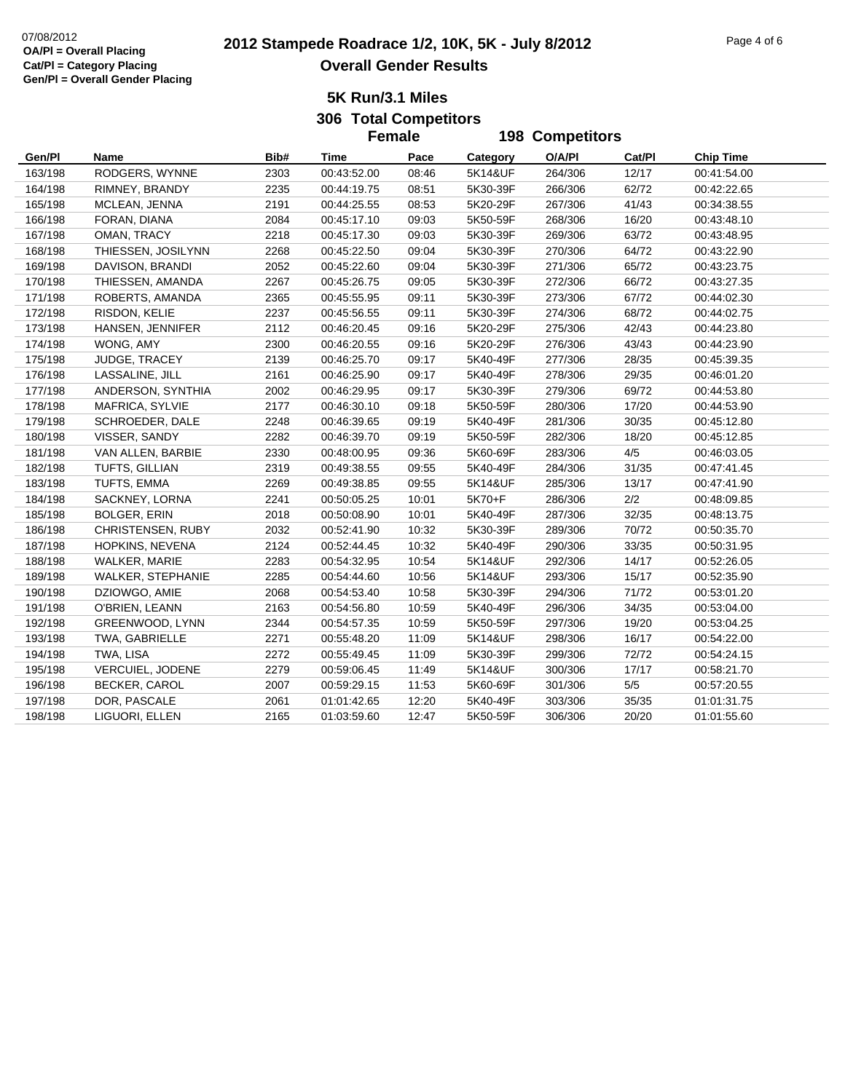# **2012 Stampede Roadrace 1/2, 10K, 5K - July 8/2012** 07/08/2012 Page 4 of 6 **Overall Gender Results**

**5K Run/3.1 Miles306 Total Competitors**

|         |                          |      |             | <b>Female</b> | <b>198 Competitors</b> |         |        |                  |
|---------|--------------------------|------|-------------|---------------|------------------------|---------|--------|------------------|
| Gen/Pl  | Name                     | Bib# | Time        | Pace          | Category               | O/A/PI  | Cat/Pl | <b>Chip Time</b> |
| 163/198 | RODGERS, WYNNE           | 2303 | 00:43:52.00 | 08:46         | 5K14&UF                | 264/306 | 12/17  | 00:41:54.00      |
| 164/198 | RIMNEY, BRANDY           | 2235 | 00:44:19.75 | 08:51         | 5K30-39F               | 266/306 | 62/72  | 00:42:22.65      |
| 165/198 | MCLEAN, JENNA            | 2191 | 00:44:25.55 | 08:53         | 5K20-29F               | 267/306 | 41/43  | 00:34:38.55      |
| 166/198 | FORAN, DIANA             | 2084 | 00:45:17.10 | 09:03         | 5K50-59F               | 268/306 | 16/20  | 00:43:48.10      |
| 167/198 | OMAN, TRACY              | 2218 | 00:45:17.30 | 09:03         | 5K30-39F               | 269/306 | 63/72  | 00:43:48.95      |
| 168/198 | THIESSEN, JOSILYNN       | 2268 | 00:45:22.50 | 09:04         | 5K30-39F               | 270/306 | 64/72  | 00:43:22.90      |
| 169/198 | DAVISON, BRANDI          | 2052 | 00:45:22.60 | 09:04         | 5K30-39F               | 271/306 | 65/72  | 00:43:23.75      |
| 170/198 | THIESSEN, AMANDA         | 2267 | 00:45:26.75 | 09:05         | 5K30-39F               | 272/306 | 66/72  | 00:43:27.35      |
| 171/198 | ROBERTS, AMANDA          | 2365 | 00:45:55.95 | 09:11         | 5K30-39F               | 273/306 | 67/72  | 00:44:02.30      |
| 172/198 | RISDON, KELIE            | 2237 | 00:45:56.55 | 09:11         | 5K30-39F               | 274/306 | 68/72  | 00:44:02.75      |
| 173/198 | HANSEN, JENNIFER         | 2112 | 00:46:20.45 | 09:16         | 5K20-29F               | 275/306 | 42/43  | 00:44:23.80      |
| 174/198 | WONG, AMY                | 2300 | 00:46:20.55 | 09:16         | 5K20-29F               | 276/306 | 43/43  | 00:44:23.90      |
| 175/198 | JUDGE, TRACEY            | 2139 | 00:46:25.70 | 09:17         | 5K40-49F               | 277/306 | 28/35  | 00:45:39.35      |
| 176/198 | LASSALINE, JILL          | 2161 | 00:46:25.90 | 09:17         | 5K40-49F               | 278/306 | 29/35  | 00:46:01.20      |
| 177/198 | ANDERSON, SYNTHIA        | 2002 | 00:46:29.95 | 09:17         | 5K30-39F               | 279/306 | 69/72  | 00:44:53.80      |
| 178/198 | MAFRICA, SYLVIE          | 2177 | 00:46:30.10 | 09:18         | 5K50-59F               | 280/306 | 17/20  | 00:44:53.90      |
| 179/198 | <b>SCHROEDER, DALE</b>   | 2248 | 00:46:39.65 | 09:19         | 5K40-49F               | 281/306 | 30/35  | 00:45:12.80      |
| 180/198 | VISSER, SANDY            | 2282 | 00:46:39.70 | 09:19         | 5K50-59F               | 282/306 | 18/20  | 00:45:12.85      |
| 181/198 | VAN ALLEN, BARBIE        | 2330 | 00:48:00.95 | 09:36         | 5K60-69F               | 283/306 | 4/5    | 00:46:03.05      |
| 182/198 | TUFTS, GILLIAN           | 2319 | 00:49:38.55 | 09:55         | 5K40-49F               | 284/306 | 31/35  | 00:47:41.45      |
| 183/198 | TUFTS, EMMA              | 2269 | 00:49:38.85 | 09:55         | 5K14&UF                | 285/306 | 13/17  | 00:47:41.90      |
| 184/198 | SACKNEY, LORNA           | 2241 | 00:50:05.25 | 10:01         | 5K70+F                 | 286/306 | 2/2    | 00:48:09.85      |
| 185/198 | <b>BOLGER, ERIN</b>      | 2018 | 00:50:08.90 | 10:01         | 5K40-49F               | 287/306 | 32/35  | 00:48:13.75      |
| 186/198 | CHRISTENSEN, RUBY        | 2032 | 00:52:41.90 | 10:32         | 5K30-39F               | 289/306 | 70/72  | 00:50:35.70      |
| 187/198 | HOPKINS, NEVENA          | 2124 | 00:52:44.45 | 10:32         | 5K40-49F               | 290/306 | 33/35  | 00:50:31.95      |
| 188/198 | WALKER, MARIE            | 2283 | 00:54:32.95 | 10:54         | 5K14&UF                | 292/306 | 14/17  | 00:52:26.05      |
| 189/198 | <b>WALKER, STEPHANIE</b> | 2285 | 00:54:44.60 | 10:56         | 5K14&UF                | 293/306 | 15/17  | 00:52:35.90      |
| 190/198 | DZIOWGO, AMIE            | 2068 | 00:54:53.40 | 10:58         | 5K30-39F               | 294/306 | 71/72  | 00:53:01.20      |
| 191/198 | O'BRIEN, LEANN           | 2163 | 00:54:56.80 | 10:59         | 5K40-49F               | 296/306 | 34/35  | 00:53:04.00      |
| 192/198 | GREENWOOD, LYNN          | 2344 | 00:54:57.35 | 10:59         | 5K50-59F               | 297/306 | 19/20  | 00:53:04.25      |
| 193/198 | TWA, GABRIELLE           | 2271 | 00:55:48.20 | 11:09         | 5K14&UF                | 298/306 | 16/17  | 00:54:22.00      |
| 194/198 | TWA, LISA                | 2272 | 00:55:49.45 | 11:09         | 5K30-39F               | 299/306 | 72/72  | 00:54:24.15      |
| 195/198 | VERCUIEL, JODENE         | 2279 | 00:59:06.45 | 11:49         | 5K14&UF                | 300/306 | 17/17  | 00:58:21.70      |
| 196/198 | BECKER, CAROL            | 2007 | 00:59:29.15 | 11:53         | 5K60-69F               | 301/306 | $5/5$  | 00:57:20.55      |
| 197/198 | DOR, PASCALE             | 2061 | 01:01:42.65 | 12:20         | 5K40-49F               | 303/306 | 35/35  | 01:01:31.75      |
| 198/198 | LIGUORI, ELLEN           | 2165 | 01:03:59.60 | 12:47         | 5K50-59F               | 306/306 | 20/20  | 01:01:55.60      |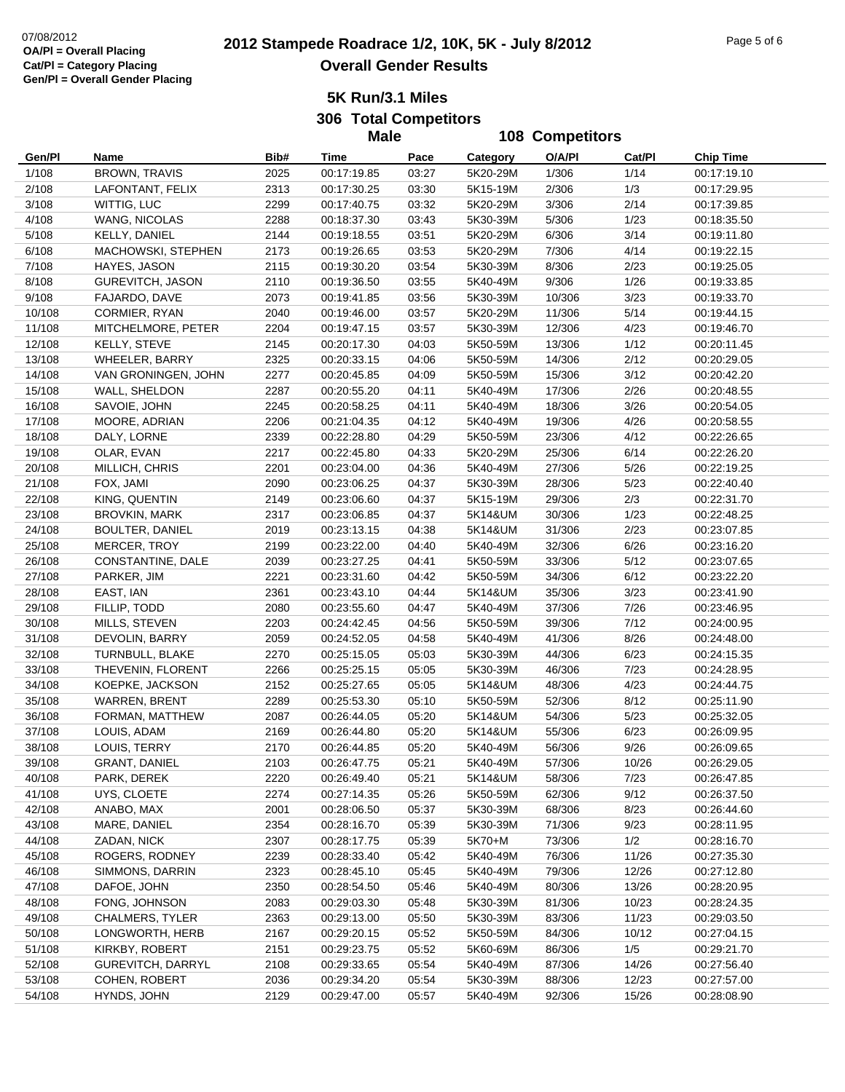# **2012 Stampede Roadrace 1/2, 10K, 5K - July 8/2012** 07/08/2012 Page 5 of 6 **Overall Gender Results**

**5K Run/3.1 Miles**

**306 Total Competitors Male**

|                  |                                    |              | <b>Male</b>                |                | 108 Competitors      |                  |                |                            |  |
|------------------|------------------------------------|--------------|----------------------------|----------------|----------------------|------------------|----------------|----------------------------|--|
| Gen/Pl           | Name                               | Bib#         | Time                       | Pace           | Category             | O/A/PI           | Cat/Pl         | <b>Chip Time</b>           |  |
| 1/108            | <b>BROWN, TRAVIS</b>               | 2025         | 00:17:19.85                | 03:27          | 5K20-29M             | 1/306            | 1/14           | 00:17:19.10                |  |
| 2/108            | LAFONTANT, FELIX                   | 2313         | 00:17:30.25                | 03:30          | 5K15-19M             | 2/306            | 1/3            | 00:17:29.95                |  |
| 3/108            | WITTIG, LUC                        | 2299         | 00:17:40.75                | 03:32          | 5K20-29M             | 3/306            | 2/14           | 00:17:39.85                |  |
| 4/108            | WANG, NICOLAS                      | 2288         | 00:18:37.30                | 03:43          | 5K30-39M             | 5/306            | 1/23           | 00:18:35.50                |  |
| 5/108            | KELLY, DANIEL                      | 2144         | 00:19:18.55                | 03:51          | 5K20-29M             | 6/306            | 3/14           | 00:19:11.80                |  |
| 6/108            | MACHOWSKI, STEPHEN                 | 2173         | 00:19:26.65                | 03:53          | 5K20-29M             | 7/306            | 4/14           | 00:19:22.15                |  |
| 7/108            | HAYES, JASON                       | 2115         | 00:19:30.20                | 03:54          | 5K30-39M             | 8/306            | 2/23           | 00:19:25.05                |  |
| 8/108            | GUREVITCH, JASON                   | 2110         | 00:19:36.50                | 03:55          | 5K40-49M             | 9/306            | 1/26           | 00:19:33.85                |  |
| 9/108            | FAJARDO, DAVE                      | 2073         | 00:19:41.85                | 03:56          | 5K30-39M             | 10/306           | 3/23           | 00:19:33.70                |  |
| 10/108           | CORMIER, RYAN                      | 2040         | 00:19:46.00                | 03:57          | 5K20-29M             | 11/306           | 5/14           | 00:19:44.15                |  |
| 11/108           | MITCHELMORE, PETER                 | 2204         | 00:19:47.15                | 03:57          | 5K30-39M             | 12/306           | 4/23           | 00:19:46.70                |  |
| 12/108           | KELLY, STEVE                       | 2145         | 00:20:17.30                | 04:03          | 5K50-59M             | 13/306           | 1/12           | 00:20:11.45                |  |
| 13/108           | <b>WHEELER, BARRY</b>              | 2325         | 00:20:33.15                | 04:06          | 5K50-59M             | 14/306           | 2/12           | 00:20:29.05                |  |
| 14/108           | VAN GRONINGEN, JOHN                | 2277         | 00:20:45.85                | 04:09          | 5K50-59M             | 15/306           | 3/12           | 00:20:42.20                |  |
| 15/108           | WALL, SHELDON                      | 2287         | 00:20:55.20                | 04:11          | 5K40-49M             | 17/306           | 2/26           | 00:20:48.55                |  |
| 16/108           | SAVOIE, JOHN                       | 2245         | 00:20:58.25                | 04:11          | 5K40-49M             | 18/306           | 3/26           | 00:20:54.05                |  |
| 17/108           | MOORE, ADRIAN                      | 2206         | 00:21:04.35                | 04:12          | 5K40-49M             | 19/306           | 4/26           | 00:20:58.55                |  |
| 18/108           | DALY, LORNE                        | 2339         | 00:22:28.80                | 04:29          | 5K50-59M             | 23/306           | 4/12           | 00:22:26.65                |  |
| 19/108           | OLAR, EVAN                         | 2217         | 00:22:45.80                | 04:33          | 5K20-29M             | 25/306           | 6/14           | 00:22:26.20                |  |
| 20/108           | MILLICH, CHRIS                     | 2201         | 00:23:04.00                | 04:36          | 5K40-49M             | 27/306           | 5/26           | 00:22:19.25                |  |
| 21/108           | FOX, JAMI                          | 2090         | 00:23:06.25                | 04:37          | 5K30-39M             | 28/306           | 5/23           | 00:22:40.40                |  |
| 22/108           | KING, QUENTIN                      | 2149         | 00:23:06.60                | 04:37          | 5K15-19M             | 29/306           | 2/3            | 00:22:31.70                |  |
| 23/108           | <b>BROVKIN, MARK</b>               | 2317         | 00:23:06.85                | 04:37          | 5K14&UM              | 30/306           | 1/23           | 00:22:48.25                |  |
| 24/108           | BOULTER, DANIEL                    | 2019         | 00:23:13.15                | 04:38          | 5K14&UM              | 31/306           | 2/23           | 00:23:07.85                |  |
| 25/108           | MERCER, TROY                       | 2199         | 00:23:22.00                | 04:40          | 5K40-49M             | 32/306           | 6/26           | 00:23:16.20                |  |
| 26/108           | CONSTANTINE, DALE                  | 2039         | 00:23:27.25                | 04:41          | 5K50-59M             | 33/306           | 5/12           | 00:23:07.65                |  |
| 27/108           | PARKER, JIM                        | 2221         | 00:23:31.60                | 04:42          | 5K50-59M             | 34/306           | 6/12           | 00:23:22.20                |  |
| 28/108           | EAST, IAN                          | 2361         | 00:23:43.10                | 04:44          | 5K14&UM              | 35/306           | 3/23           | 00:23:41.90                |  |
| 29/108           | FILLIP, TODD                       | 2080         | 00:23:55.60                | 04:47          | 5K40-49M             | 37/306           | 7/26           | 00:23:46.95                |  |
| 30/108           | MILLS, STEVEN                      | 2203         | 00:24:42.45                | 04:56          | 5K50-59M             | 39/306           | 7/12           | 00:24:00.95                |  |
| 31/108           | DEVOLIN, BARRY                     | 2059         | 00:24:52.05                | 04:58          | 5K40-49M             | 41/306           | 8/26           | 00:24:48.00                |  |
| 32/108           | TURNBULL, BLAKE                    | 2270         | 00:25:15.05                | 05:03          | 5K30-39M             | 44/306           | 6/23           | 00:24:15.35                |  |
| 33/108           | THEVENIN, FLORENT                  | 2266         | 00:25:25.15                | 05:05          | 5K30-39M             | 46/306           | 7/23           | 00:24:28.95                |  |
| 34/108           | KOEPKE, JACKSON                    | 2152         | 00:25:27.65                | 05:05          | 5K14&UM              | 48/306           | 4/23           | 00:24:44.75                |  |
| 35/108           | <b>WARREN, BRENT</b>               | 2289         | 00:25:53.30                | 05:10          | 5K50-59M             | 52/306           | 8/12           | 00:25:11.90                |  |
| 36/108           | FORMAN, MATTHEW                    | 2087         | 00:26:44.05                | 05:20          | 5K14&UM              | 54/306           | 5/23           | 00:25:32.05                |  |
| 37/108           | LOUIS, ADAM                        | 2169         | 00:26:44.80                | 05:20          | 5K14&UM              | 55/306           | 6/23           | 00:26:09.95                |  |
| 38/108           | LOUIS, TERRY                       | 2170         | 00:26:44.85                | 05:20          | 5K40-49M             | 56/306           | 9/26           | 00:26:09.65                |  |
| 39/108           | <b>GRANT, DANIEL</b>               | 2103         | 00:26:47.75                | 05:21          | 5K40-49M             | 57/306           | 10/26          | 00:26:29.05                |  |
| 40/108           | PARK, DEREK                        | 2220         | 00:26:49.40                | 05:21          | 5K14&UM              | 58/306           | 7/23           | 00:26:47.85                |  |
| 41/108           | UYS, CLOETE                        | 2274         | 00:27:14.35                | 05:26          | 5K50-59M             | 62/306           | 9/12           | 00:26:37.50                |  |
| 42/108           | ANABO, MAX                         | 2001         | 00:28:06.50                | 05:37          | 5K30-39M             | 68/306           | 8/23           | 00:26:44.60                |  |
| 43/108           | MARE, DANIEL                       | 2354         | 00:28:16.70                | 05:39          | 5K30-39M             | 71/306           | 9/23           | 00:28:11.95                |  |
| 44/108           | ZADAN, NICK                        | 2307         | 00:28:17.75                | 05:39          | 5K70+M               | 73/306           | 1/2            | 00:28:16.70                |  |
| 45/108           | ROGERS, RODNEY                     | 2239         | 00:28:33.40                | 05:42          | 5K40-49M             | 76/306           | 11/26          | 00:27:35.30                |  |
| 46/108           | SIMMONS, DARRIN                    | 2323         | 00:28:45.10                | 05:45          | 5K40-49M             | 79/306           | 12/26          | 00:27:12.80                |  |
| 47/108           | DAFOE, JOHN<br>FONG, JOHNSON       | 2350         | 00:28:54.50                | 05:46          | 5K40-49M             | 80/306           | 13/26          | 00:28:20.95                |  |
| 48/108           |                                    | 2083         | 00:29:03.30                | 05:48          | 5K30-39M             | 81/306           | 10/23          | 00:28:24.35                |  |
| 49/108<br>50/108 | CHALMERS, TYLER<br>LONGWORTH, HERB | 2363         | 00:29:13.00                | 05:50<br>05:52 | 5K30-39M             | 83/306<br>84/306 | 11/23<br>10/12 | 00:29:03.50<br>00:27:04.15 |  |
| 51/108           | KIRKBY, ROBERT                     | 2167<br>2151 | 00:29:20.15<br>00:29:23.75 | 05:52          | 5K50-59M<br>5K60-69M | 86/306           | 1/5            | 00:29:21.70                |  |
| 52/108           | GUREVITCH, DARRYL                  | 2108         | 00:29:33.65                | 05:54          | 5K40-49M             | 87/306           | 14/26          | 00:27:56.40                |  |
| 53/108           | COHEN, ROBERT                      | 2036         | 00:29:34.20                | 05:54          | 5K30-39M             | 88/306           | 12/23          | 00:27:57.00                |  |
| 54/108           | HYNDS, JOHN                        | 2129         | 00:29:47.00                | 05:57          | 5K40-49M             | 92/306           | 15/26          | 00:28:08.90                |  |
|                  |                                    |              |                            |                |                      |                  |                |                            |  |